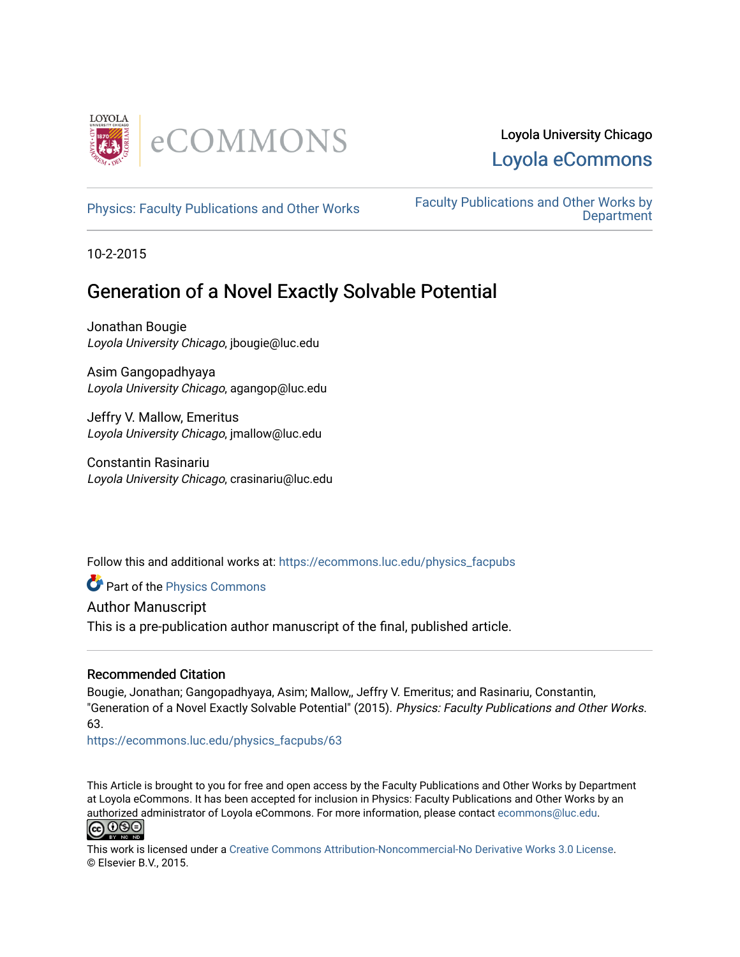

[Physics: Faculty Publications and Other Works](https://ecommons.luc.edu/physics_facpubs) Faculty Publications and Other Works by **Department** 

10-2-2015

# Generation of a Novel Exactly Solvable Potential

Jonathan Bougie Loyola University Chicago, jbougie@luc.edu

Asim Gangopadhyaya Loyola University Chicago, agangop@luc.edu

Jeffry V. Mallow, Emeritus Loyola University Chicago, jmallow@luc.edu

Constantin Rasinariu Loyola University Chicago, crasinariu@luc.edu

Follow this and additional works at: [https://ecommons.luc.edu/physics\\_facpubs](https://ecommons.luc.edu/physics_facpubs?utm_source=ecommons.luc.edu%2Fphysics_facpubs%2F63&utm_medium=PDF&utm_campaign=PDFCoverPages) 

Part of the [Physics Commons](http://network.bepress.com/hgg/discipline/193?utm_source=ecommons.luc.edu%2Fphysics_facpubs%2F63&utm_medium=PDF&utm_campaign=PDFCoverPages)

Author Manuscript

This is a pre-publication author manuscript of the final, published article.

## Recommended Citation

Bougie, Jonathan; Gangopadhyaya, Asim; Mallow,, Jeffry V. Emeritus; and Rasinariu, Constantin, "Generation of a Novel Exactly Solvable Potential" (2015). Physics: Faculty Publications and Other Works. 63.

[https://ecommons.luc.edu/physics\\_facpubs/63](https://ecommons.luc.edu/physics_facpubs/63?utm_source=ecommons.luc.edu%2Fphysics_facpubs%2F63&utm_medium=PDF&utm_campaign=PDFCoverPages)

This Article is brought to you for free and open access by the Faculty Publications and Other Works by Department at Loyola eCommons. It has been accepted for inclusion in Physics: Faculty Publications and Other Works by an authorized administrator of Loyola eCommons. For more information, please contact [ecommons@luc.edu](mailto:ecommons@luc.edu).



This work is licensed under a [Creative Commons Attribution-Noncommercial-No Derivative Works 3.0 License.](https://creativecommons.org/licenses/by-nc-nd/3.0/) © Elsevier B.V., 2015.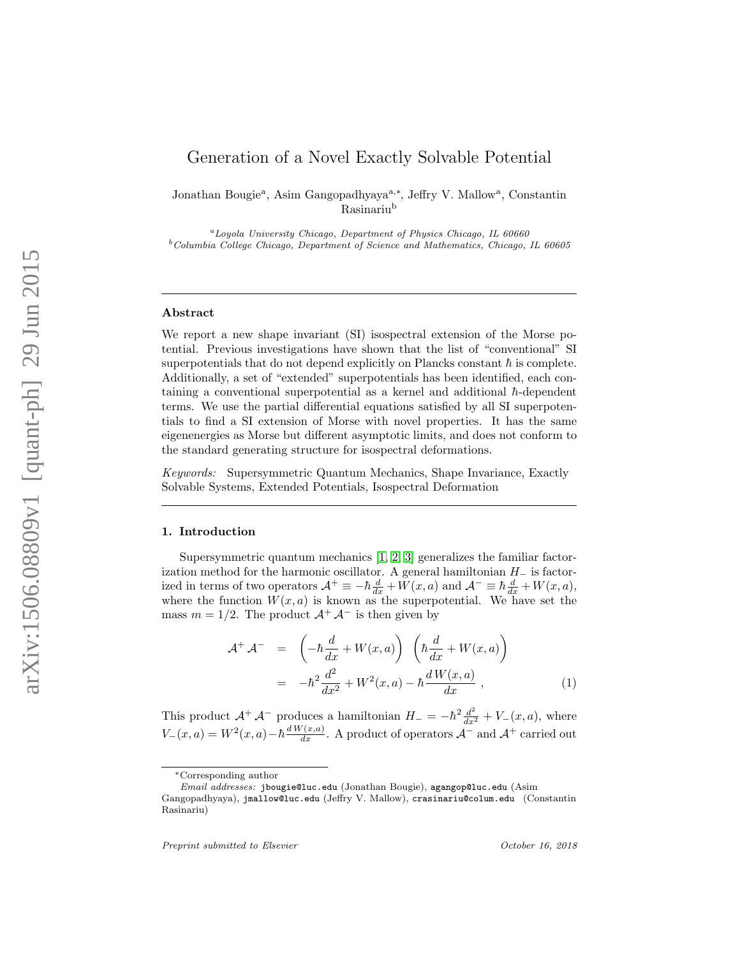## Generation of a Novel Exactly Solvable Potential

Jonathan Bougie<sup>a</sup>, Asim Gangopadhyaya<sup>a,\*</sup>, Jeffry V. Mallow<sup>a</sup>, Constantin Rasinariu b

 ${}^a$ Loyola University Chicago, Department of Physics Chicago, IL 60660  $^{b}$ Columbia College Chicago, Department of Science and Mathematics, Chicago, IL 60605

#### Abstract

We report a new shape invariant (SI) isospectral extension of the Morse potential. Previous investigations have shown that the list of "conventional" SI superpotentials that do not depend explicitly on Plancks constant  $\hbar$  is complete. Additionally, a set of "extended" superpotentials has been identified, each containing a conventional superpotential as a kernel and additional  $\hbar$ -dependent terms. We use the partial differential equations satisfied by all SI superpotentials to find a SI extension of Morse with novel properties. It has the same eigenenergies as Morse but different asymptotic limits, and does not conform to the standard generating structure for isospectral deformations.

Keywords: Supersymmetric Quantum Mechanics, Shape Invariance, Exactly Solvable Systems, Extended Potentials, Isospectral Deformation

#### 1. Introduction

Supersymmetric quantum mechanics [\[1,](#page-8-0) [2,](#page-8-1) [3\]](#page-8-2) generalizes the familiar factorization method for the harmonic oscillator. A general hamiltonian  $H_-\$  is factorized in terms of two operators  $\mathcal{A}^+ \equiv -\hbar \frac{d}{dx} + W(x, a)$  and  $\mathcal{A}^- \equiv \hbar \frac{d}{dx} + W(x, a)$ , where the function  $W(x, a)$  is known as the superpotential. We have set the mass  $m = 1/2$ . The product  $\mathcal{A}^+ \mathcal{A}^-$  is then given by

$$
\mathcal{A}^+ \mathcal{A}^- = \left( -\hbar \frac{d}{dx} + W(x, a) \right) \left( \hbar \frac{d}{dx} + W(x, a) \right)
$$

$$
= -\hbar^2 \frac{d^2}{dx^2} + W^2(x, a) - \hbar \frac{dW(x, a)}{dx}, \qquad (1)
$$

This product  $\mathcal{A}^+ \mathcal{A}^-$  produces a hamiltonian  $H_- = -\hbar^2 \frac{d^2}{dx^2}$  $\frac{d^2}{dx^2} + V_-(x, a)$ , where  $V_-(x,a) = W^2(x,a) - \hbar \frac{dW(x,a)}{dx}$ . A product of operators  $\mathcal{A}^-$  and  $\mathcal{A}^+$  carried out

<sup>∗</sup>Corresponding author

Email addresses: jbougie@luc.edu (Jonathan Bougie), agangop@luc.edu (Asim

Gangopadhyaya), jmallow@luc.edu (Jeffry V. Mallow), crasinariu@colum.edu (Constantin Rasinariu)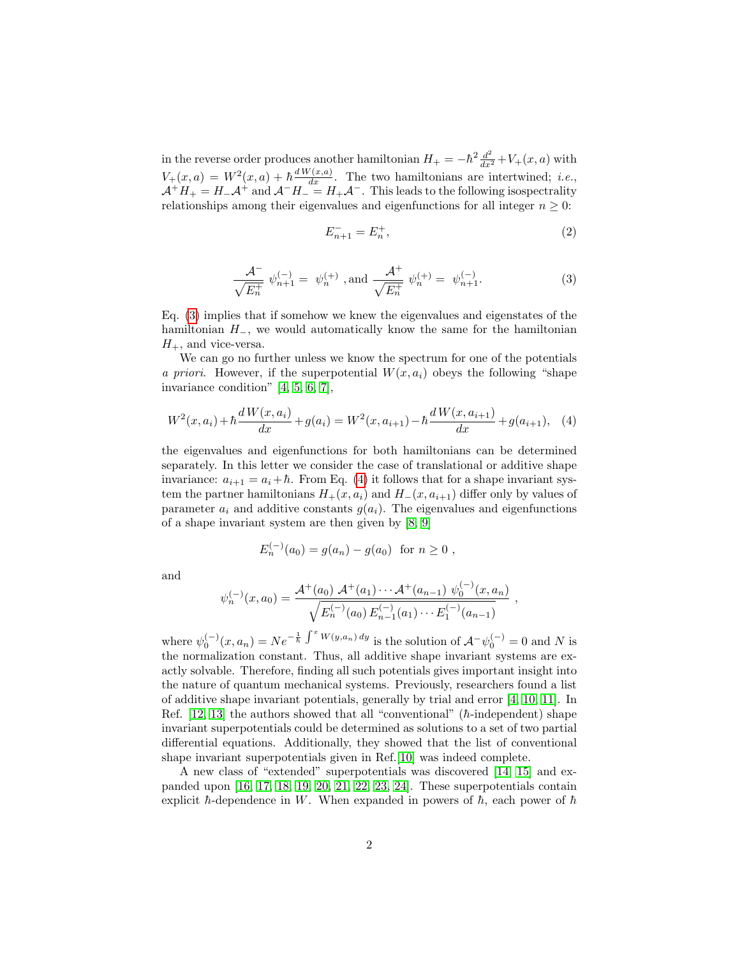in the reverse order produces another hamiltonian  $H_{+} = -\hbar^2 \frac{d^2}{dx^2} + V_{+}(x, a)$  with  $V_{+}(x,a) = W^{2}(x,a) + \hbar \frac{dW(x,a)}{dx}$ . The two hamiltonians are intertwined; *i.e.*,  $\mathcal{A}^+H_+ = H_-\mathcal{A}^+$  and  $\mathcal{A}^-H_- = H_+\mathcal{A}^-$ . This leads to the following isospectrality relationships among their eigenvalues and eigenfunctions for all integer  $n \geq 0$ :

$$
E_{n+1}^- = E_n^+, \tag{2}
$$

<span id="page-2-0"></span>
$$
\frac{\mathcal{A}^{-}}{\sqrt{E_{n}^{+}}} \psi_{n+1}^{(-)} = \psi_{n}^{(+)} \text{ , and } \frac{\mathcal{A}^{+}}{\sqrt{E_{n}^{+}}} \psi_{n}^{(+)} = \psi_{n+1}^{(-)}.
$$
 (3)

Eq. [\(3\)](#page-2-0) implies that if somehow we knew the eigenvalues and eigenstates of the hamiltonian  $H_$ , we would automatically know the same for the hamiltonian  $H_{+}$ , and vice-versa.

We can go no further unless we know the spectrum for one of the potentials a priori. However, if the superpotential  $W(x, a_i)$  obeys the following "shape" invariance condition" [\[4,](#page-8-3) [5,](#page-8-4) [6,](#page-8-5) [7\]](#page-8-6),

<span id="page-2-1"></span>
$$
W^{2}(x, a_{i}) + \hbar \frac{d W(x, a_{i})}{dx} + g(a_{i}) = W^{2}(x, a_{i+1}) - \hbar \frac{d W(x, a_{i+1})}{dx} + g(a_{i+1}), \quad (4)
$$

the eigenvalues and eigenfunctions for both hamiltonians can be determined separately. In this letter we consider the case of translational or additive shape invariance:  $a_{i+1} = a_i + \hbar$ . From Eq. [\(4\)](#page-2-1) it follows that for a shape invariant system the partner hamiltonians  $H_+(x, a_i)$  and  $H_-(x, a_{i+1})$  differ only by values of parameter  $a_i$  and additive constants  $g(a_i)$ . The eigenvalues and eigenfunctions of a shape invariant system are then given by [\[8,](#page-8-7) [9\]](#page-8-8)

$$
E_n^{(-)}(a_0) = g(a_n) - g(a_0) \text{ for } n \ge 0 ,
$$

and

$$
\psi_n^{(-)}(x,a_0) = \frac{\mathcal{A}^+(a_0) \ \mathcal{A}^+(a_1) \cdots \mathcal{A}^+(a_{n-1}) \ \psi_0^{(-)}(x,a_n)}{\sqrt{E_n^{(-)}(a_0) \ E_{n-1}^{(-)}(a_1) \cdots E_1^{(-)}(a_{n-1})}} ,
$$

where  $\psi_0^{(-)}(x, a_n) = N e^{-\frac{1}{\hbar} \int^x W(y, a_n) dy}$  is the solution of  $\mathcal{A}^{-}\psi_0^{(-)} = 0$  and N is the normalization constant. Thus, all additive shape invariant systems are exactly solvable. Therefore, finding all such potentials gives important insight into the nature of quantum mechanical systems. Previously, researchers found a list of additive shape invariant potentials, generally by trial and error [\[4,](#page-8-3) [10,](#page-9-0) [11\]](#page-9-1). In Ref.  $[12, 13]$  $[12, 13]$  the authors showed that all "conventional" ( $\hbar$ -independent) shape invariant superpotentials could be determined as solutions to a set of two partial differential equations. Additionally, they showed that the list of conventional shape invariant superpotentials given in Ref.[\[10\]](#page-9-0) was indeed complete.

A new class of "extended" superpotentials was discovered [\[14,](#page-9-4) [15\]](#page-9-5) and expanded upon [\[16,](#page-9-6) [17,](#page-9-7) [18,](#page-9-8) [19,](#page-9-9) [20,](#page-9-10) [21,](#page-9-11) [22,](#page-9-12) [23,](#page-9-13) [24\]](#page-9-14). These superpotentials contain explicit  $\hbar$ -dependence in W. When expanded in powers of  $\hbar$ , each power of  $\hbar$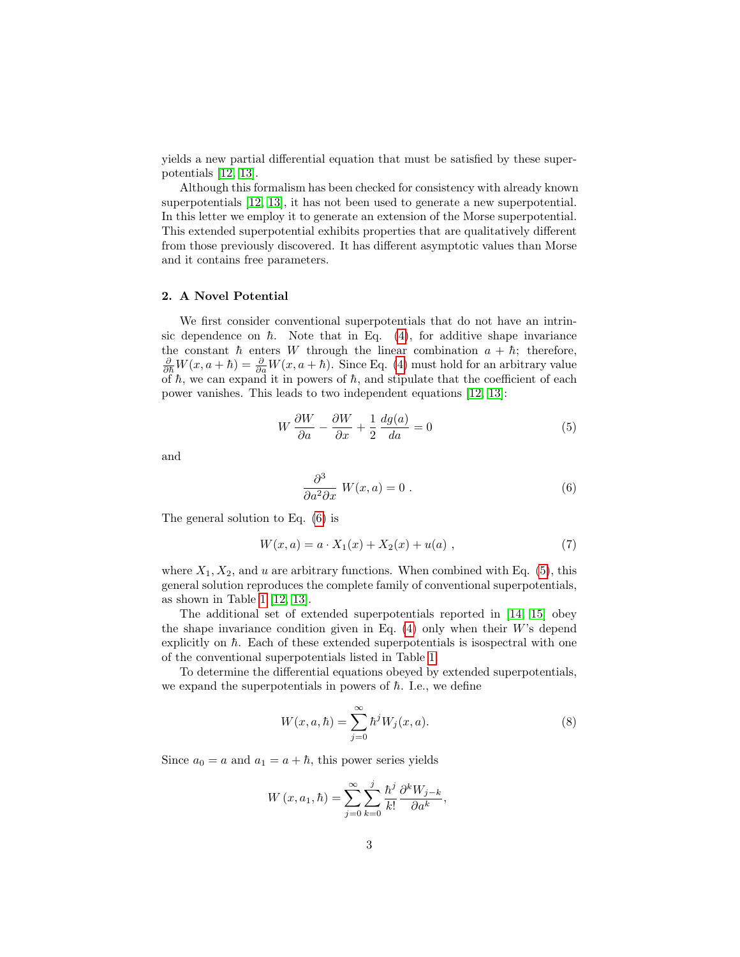yields a new partial differential equation that must be satisfied by these superpotentials [\[12,](#page-9-2) [13\]](#page-9-3).

Although this formalism has been checked for consistency with already known superpotentials [\[12,](#page-9-2) [13\]](#page-9-3), it has not been used to generate a new superpotential. In this letter we employ it to generate an extension of the Morse superpotential. This extended superpotential exhibits properties that are qualitatively different from those previously discovered. It has different asymptotic values than Morse and it contains free parameters.

#### 2. A Novel Potential

We first consider conventional superpotentials that do not have an intrinsic dependence on  $\hbar$ . Note that in Eq. [\(4\)](#page-2-1), for additive shape invariance the constant  $\hbar$  enters W through the linear combination  $a + \hbar$ ; therefore,  $\frac{\partial}{\partial \hbar}W(x,a+\hbar)=\frac{\partial}{\partial a}W(x,a+\hbar)$ . Since Eq. [\(4\)](#page-2-1) must hold for an arbitrary value of  $\hbar$ , we can expand it in powers of  $\hbar$ , and stipulate that the coefficient of each power vanishes. This leads to two independent equations [\[12,](#page-9-2) [13\]](#page-9-3):

<span id="page-3-1"></span>
$$
W\frac{\partial W}{\partial a} - \frac{\partial W}{\partial x} + \frac{1}{2}\frac{dg(a)}{da} = 0\tag{5}
$$

and

<span id="page-3-0"></span>
$$
\frac{\partial^3}{\partial a^2 \partial x} W(x, a) = 0.
$$
 (6)

The general solution to Eq. [\(6\)](#page-3-0) is

$$
W(x, a) = a \cdot X_1(x) + X_2(x) + u(a) , \qquad (7)
$$

where  $X_1, X_2$ , and u are arbitrary functions. When combined with Eq. [\(5\)](#page-3-1), this general solution reproduces the complete family of conventional superpotentials, as shown in Table [1](#page-4-0) [\[12,](#page-9-2) [13\]](#page-9-3).

The additional set of extended superpotentials reported in [\[14,](#page-9-4) [15\]](#page-9-5) obey the shape invariance condition given in Eq.  $(4)$  only when their W's depend explicitly on  $\hbar$ . Each of these extended superpotentials is isospectral with one of the conventional superpotentials listed in Table [1.](#page-4-0)

To determine the differential equations obeyed by extended superpotentials, we expand the superpotentials in powers of  $\hbar$ . I.e., we define

$$
W(x,a,\hbar) = \sum_{j=0}^{\infty} \hbar^j W_j(x,a). \tag{8}
$$

Since  $a_0 = a$  and  $a_1 = a + \hbar$ , this power series yields

<span id="page-3-2"></span>
$$
W(x, a_1, \hbar) = \sum_{j=0}^{\infty} \sum_{k=0}^{j} \frac{\hbar^j}{k!} \frac{\partial^k W_{j-k}}{\partial a^k},
$$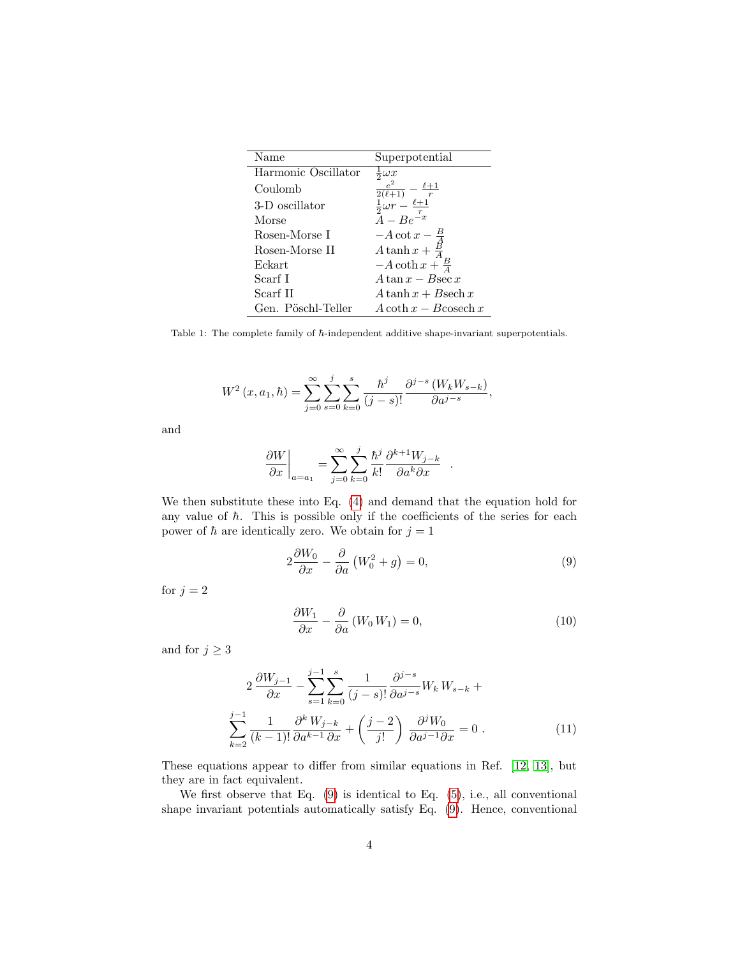| Name                | Superpotential                                                       |
|---------------------|----------------------------------------------------------------------|
| Harmonic Oscillator | $\frac{1}{2}\omega x$                                                |
| Coulomb             | $\frac{\frac{e^2}{2(\ell+1)}}{\frac{1}{2}\omega r-\frac{\ell+1}{r}}$ |
| 3-D oscillator      |                                                                      |
| Morse               | $A - Be^{-x}$                                                        |
| Rosen-Morse I       | $-A \cot x - \frac{B}{4}$                                            |
| Rosen-Morse II      | A tanh $x + \frac{B}{4}$                                             |
| Eckart              | $-A \coth x + \frac{B}{4}$                                           |
| Scarf I             | $A \tan x - B \sec x$                                                |
| Scarf II            | $A \tanh x + B \sech x$                                              |
| Gen. Pöschl-Teller  | $A \coth x - B \cosech x$                                            |

<span id="page-4-0"></span>Table 1: The complete family of  $\hbar$ -independent additive shape-invariant superpotentials.

$$
W^{2}(x, a_{1}, \hbar) = \sum_{j=0}^{\infty} \sum_{s=0}^{j} \sum_{k=0}^{s} \frac{\hbar^{j}}{(j-s)!} \frac{\partial^{j-s} (W_{k} W_{s-k})}{\partial a^{j-s}},
$$

and

$$
\left.\frac{\partial W}{\partial x}\right|_{a=a_1}=\sum_{j=0}^\infty\sum_{k=0}^j\frac{\hbar^j}{k!}\frac{\partial^{k+1}W_{j-k}}{\partial a^k\partial x}\ .
$$

We then substitute these into Eq. [\(4\)](#page-2-1) and demand that the equation hold for any value of  $\hbar$ . This is possible only if the coefficients of the series for each power of  $\hbar$  are identically zero. We obtain for  $j = 1$ 

$$
2\frac{\partial W_0}{\partial x} - \frac{\partial}{\partial a} \left( W_0^2 + g \right) = 0,\tag{9}
$$

for  $j = 2$ 

$$
\frac{\partial W_1}{\partial x} - \frac{\partial}{\partial a} \left( W_0 W_1 \right) = 0,\tag{10}
$$

and for  $j\geq 3$ 

<span id="page-4-1"></span>
$$
2 \frac{\partial W_{j-1}}{\partial x} - \sum_{s=1}^{j-1} \sum_{k=0}^{s} \frac{1}{(j-s)!} \frac{\partial^{j-s}}{\partial a^{j-s}} W_k W_{s-k} +
$$
  

$$
\sum_{k=2}^{j-1} \frac{1}{(k-1)!} \frac{\partial^k W_{j-k}}{\partial a^{k-1} \partial x} + \left(\frac{j-2}{j!}\right) \frac{\partial^j W_0}{\partial a^{j-1} \partial x} = 0.
$$
 (11)

These equations appear to differ from similar equations in Ref. [\[12,](#page-9-2) [13\]](#page-9-3), but they are in fact equivalent.

We first observe that Eq.  $(9)$  is identical to Eq.  $(5)$ , i.e., all conventional shape invariant potentials automatically satisfy Eq. [\(9\)](#page-3-2). Hence, conventional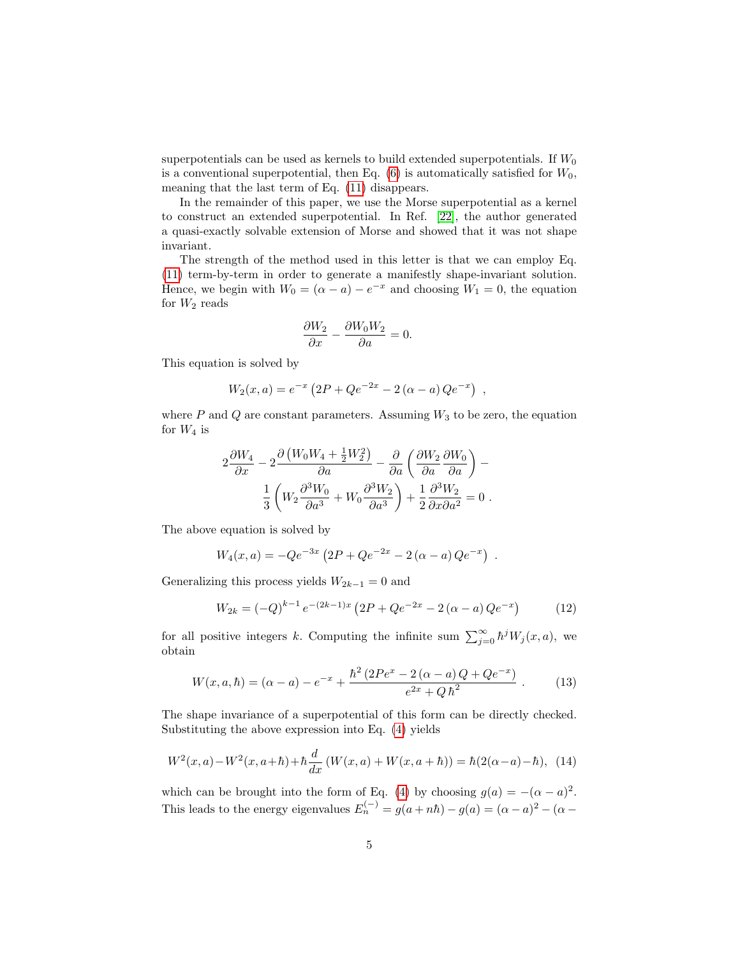superpotentials can be used as kernels to build extended superpotentials. If  $W_0$ is a conventional superpotential, then Eq.  $(6)$  is automatically satisfied for  $W_0$ , meaning that the last term of Eq. [\(11\)](#page-4-1) disappears.

In the remainder of this paper, we use the Morse superpotential as a kernel to construct an extended superpotential. In Ref. [\[22\]](#page-9-12), the author generated a quasi-exactly solvable extension of Morse and showed that it was not shape invariant.

The strength of the method used in this letter is that we can employ Eq. [\(11\)](#page-4-1) term-by-term in order to generate a manifestly shape-invariant solution. Hence, we begin with  $W_0 = (\alpha - a) - e^{-x}$  and choosing  $W_1 = 0$ , the equation for  $W_2$  reads

$$
\frac{\partial W_2}{\partial x} - \frac{\partial W_0 W_2}{\partial a} = 0.
$$

This equation is solved by

$$
W_2(x,a) = e^{-x} (2P + Qe^{-2x} - 2(\alpha - a) Qe^{-x}),
$$

where  $P$  and  $Q$  are constant parameters. Assuming  $W_3$  to be zero, the equation for  $W_4$  is

$$
2\frac{\partial W_4}{\partial x} - 2\frac{\partial (W_0 W_4 + \frac{1}{2}W_2^2)}{\partial a} - \frac{\partial}{\partial a} \left(\frac{\partial W_2}{\partial a} \frac{\partial W_0}{\partial a}\right) - \frac{1}{3} \left(W_2 \frac{\partial^3 W_0}{\partial a^3} + W_0 \frac{\partial^3 W_2}{\partial a^3}\right) + \frac{1}{2} \frac{\partial^3 W_2}{\partial x \partial a^2} = 0.
$$

The above equation is solved by

$$
W_4(x,a) = -Qe^{-3x} (2P + Qe^{-2x} - 2(\alpha - a) Qe^{-x}).
$$

Generalizing this process yields  $W_{2k-1} = 0$  and

$$
W_{2k} = (-Q)^{k-1} e^{-(2k-1)x} \left( 2P + Qe^{-2x} - 2(\alpha - a)Qe^{-x} \right)
$$
 (12)

for all positive integers k. Computing the infinite sum  $\sum_{j=0}^{\infty} \hbar^j W_j(x, a)$ , we obtain

$$
W(x, a, \hbar) = (\alpha - a) - e^{-x} + \frac{\hbar^2 (2P e^x - 2(\alpha - a)Q + Q e^{-x})}{e^{2x} + Q\hbar^2}.
$$
 (13)

The shape invariance of a superpotential of this form can be directly checked. Substituting the above expression into Eq. [\(4\)](#page-2-1) yields

$$
W^{2}(x,a) - W^{2}(x,a+h) + \hbar \frac{d}{dx} \left( W(x,a) + W(x,a+h) \right) = \hbar (2(\alpha - a) - \hbar), \tag{14}
$$

which can be brought into the form of Eq. [\(4\)](#page-2-1) by choosing  $g(a) = -(\alpha - a)^2$ . This leads to the energy eigenvalues  $E_n^{(-)} = g(a + n\hbar) - g(a) = (\alpha - a)^2 - (\alpha - a)^2$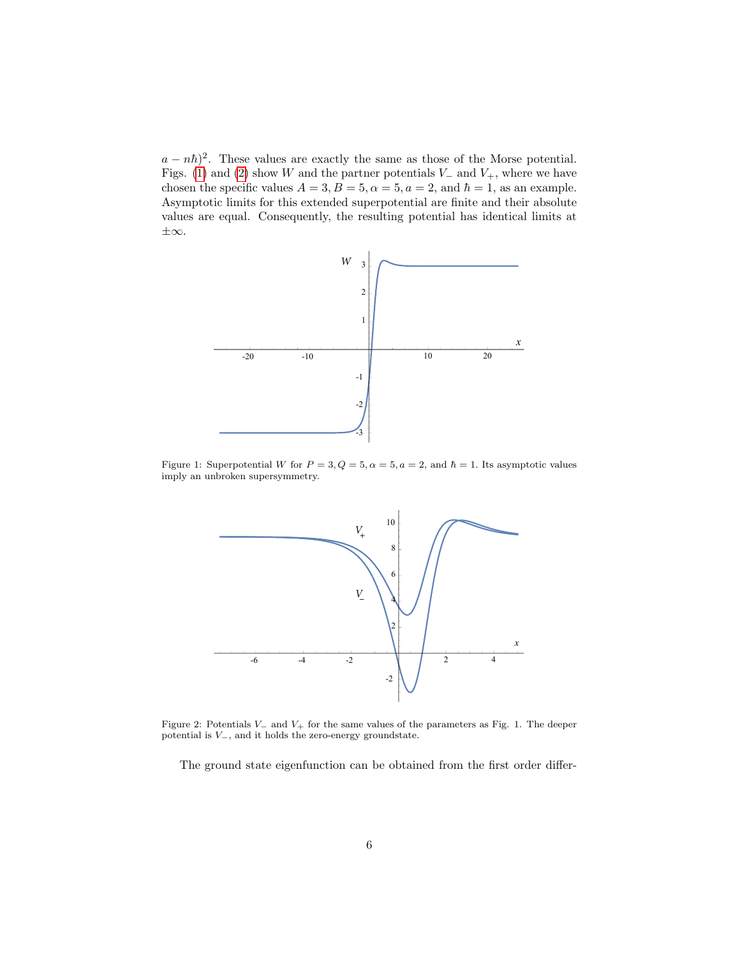$(a - n\hbar)^2$ . These values are exactly the same as those of the Morse potential. Figs. [\(1\)](#page-6-0) and [\(2\)](#page-6-1) show W and the partner potentials  $V_-\$  and  $V_+$ , where we have chosen the specific values  $A = 3, B = 5, \alpha = 5, a = 2$ , and  $\hbar = 1$ , as an example. Asymptotic limits for this extended superpotential are finite and their absolute values are equal. Consequently, the resulting potential has identical limits at ±∞.



Figure 1: Superpotential W for  $P = 3, Q = 5, \alpha = 5, a = 2$ , and  $\hbar = 1$ . Its asymptotic values imply an unbroken supersymmetry.

<span id="page-6-0"></span>

<span id="page-6-1"></span>Figure 2: Potentials V<sup>−</sup> and V<sup>+</sup> for the same values of the parameters as Fig. 1. The deeper potential is  $V_-,$  and it holds the zero-energy groundstate.

The ground state eigenfunction can be obtained from the first order differ-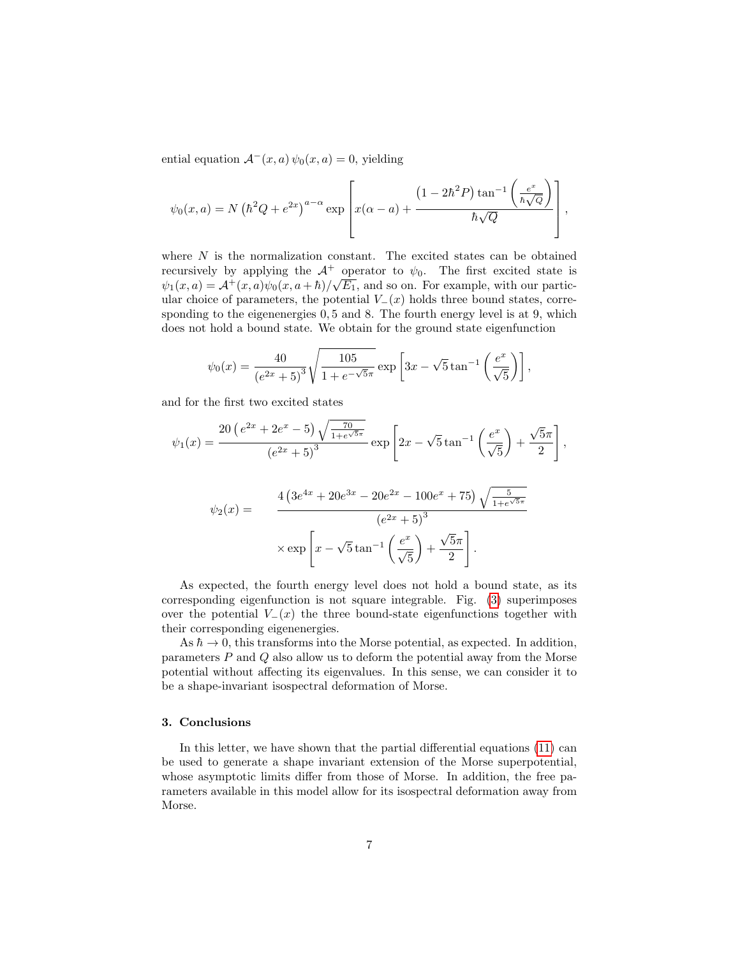ential equation  $\mathcal{A}^-(x, a) \psi_0(x, a) = 0$ , yielding

$$
\psi_0(x,a) = N \left(\hbar^2 Q + e^{2x}\right)^{a-\alpha} \exp\left[x(\alpha-a) + \frac{\left(1 - 2\hbar^2 P\right) \tan^{-1} \left(\frac{e^x}{\hbar \sqrt{Q}}\right)}{\hbar \sqrt{Q}}\right],
$$

where  $N$  is the normalization constant. The excited states can be obtained recursively by applying the  $\mathcal{A}^+$  operator to  $\psi_0$ . The first excited state is  $\psi_1(x,a) = \mathcal{A}^+(x,a)\psi_0(x,a+\hbar)/\sqrt{E_1}$ , and so on. For example, with our particular choice of parameters, the potential  $V_-(x)$  holds three bound states, corresponding to the eigenenergies  $0, 5$  and  $8$ . The fourth energy level is at 9, which does not hold a bound state. We obtain for the ground state eigenfunction

$$
\psi_0(x) = \frac{40}{(e^{2x} + 5)^3} \sqrt{\frac{105}{1 + e^{-\sqrt{5}\pi}}} \exp\left[3x - \sqrt{5}\tan^{-1}\left(\frac{e^x}{\sqrt{5}}\right)\right],
$$

and for the first two excited states

$$
\psi_1(x) = \frac{20\left(e^{2x} + 2e^x - 5\right)\sqrt{\frac{70}{1 + e^{\sqrt{5}\pi}}}}{\left(e^{2x} + 5\right)^3} \exp\left[2x - \sqrt{5}\tan^{-1}\left(\frac{e^x}{\sqrt{5}}\right) + \frac{\sqrt{5}\pi}{2}\right],
$$

$$
\psi_2(x) = \frac{4\left(3e^{4x} + 20e^{3x} - 20e^{2x} - 100e^x + 75\right)\sqrt{\frac{5}{1 + e^{\sqrt{5}\pi}}}}{\left(3x + 5\right)^3}
$$

$$
(e^{2x} + 5)^3
$$

$$
\times \exp\left[x - \sqrt{5} \tan^{-1}\left(\frac{e^x}{\sqrt{5}}\right) + \frac{\sqrt{5}\pi}{2}\right].
$$

As expected, the fourth energy level does not hold a bound state, as its corresponding eigenfunction is not square integrable. Fig. [\(3\)](#page-8-9) superimposes over the potential  $V_-(x)$  the three bound-state eigenfunctions together with their corresponding eigenenergies.

As  $\hbar \to 0$ , this transforms into the Morse potential, as expected. In addition, parameters P and Q also allow us to deform the potential away from the Morse potential without affecting its eigenvalues. In this sense, we can consider it to be a shape-invariant isospectral deformation of Morse.

#### 3. Conclusions

In this letter, we have shown that the partial differential equations [\(11\)](#page-4-1) can be used to generate a shape invariant extension of the Morse superpotential, whose asymptotic limits differ from those of Morse. In addition, the free parameters available in this model allow for its isospectral deformation away from Morse.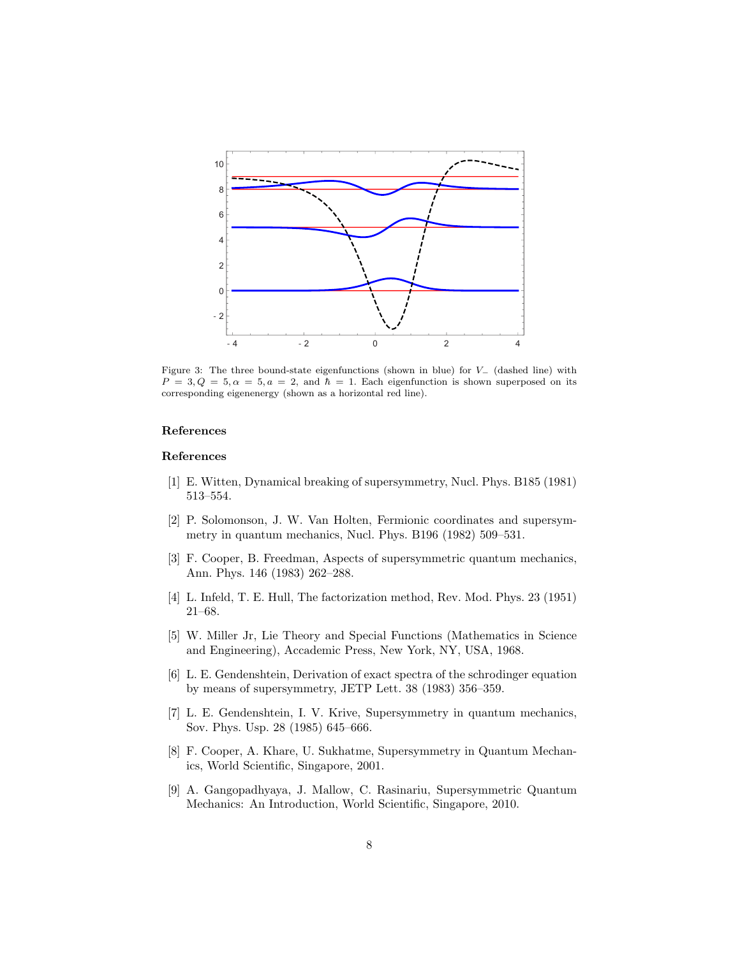

<span id="page-8-9"></span>Figure 3: The three bound-state eigenfunctions (shown in blue) for V− (dashed line) with  $P = 3, Q = 5, \alpha = 5, a = 2, \text{ and } \hbar = 1.$  Each eigenfunction is shown superposed on its corresponding eigenenergy (shown as a horizontal red line).

### References

#### References

- <span id="page-8-0"></span>[1] E. Witten, Dynamical breaking of supersymmetry, Nucl. Phys. B185 (1981) 513–554.
- <span id="page-8-1"></span>[2] P. Solomonson, J. W. Van Holten, Fermionic coordinates and supersymmetry in quantum mechanics, Nucl. Phys. B196 (1982) 509–531.
- <span id="page-8-2"></span>[3] F. Cooper, B. Freedman, Aspects of supersymmetric quantum mechanics, Ann. Phys. 146 (1983) 262–288.
- <span id="page-8-3"></span>[4] L. Infeld, T. E. Hull, The factorization method, Rev. Mod. Phys. 23 (1951) 21–68.
- <span id="page-8-4"></span>[5] W. Miller Jr, Lie Theory and Special Functions (Mathematics in Science and Engineering), Accademic Press, New York, NY, USA, 1968.
- <span id="page-8-5"></span>[6] L. E. Gendenshtein, Derivation of exact spectra of the schrodinger equation by means of supersymmetry, JETP Lett. 38 (1983) 356–359.
- <span id="page-8-6"></span>[7] L. E. Gendenshtein, I. V. Krive, Supersymmetry in quantum mechanics, Sov. Phys. Usp. 28 (1985) 645–666.
- <span id="page-8-7"></span>[8] F. Cooper, A. Khare, U. Sukhatme, Supersymmetry in Quantum Mechanics, World Scientific, Singapore, 2001.
- <span id="page-8-8"></span>[9] A. Gangopadhyaya, J. Mallow, C. Rasinariu, Supersymmetric Quantum Mechanics: An Introduction, World Scientific, Singapore, 2010.